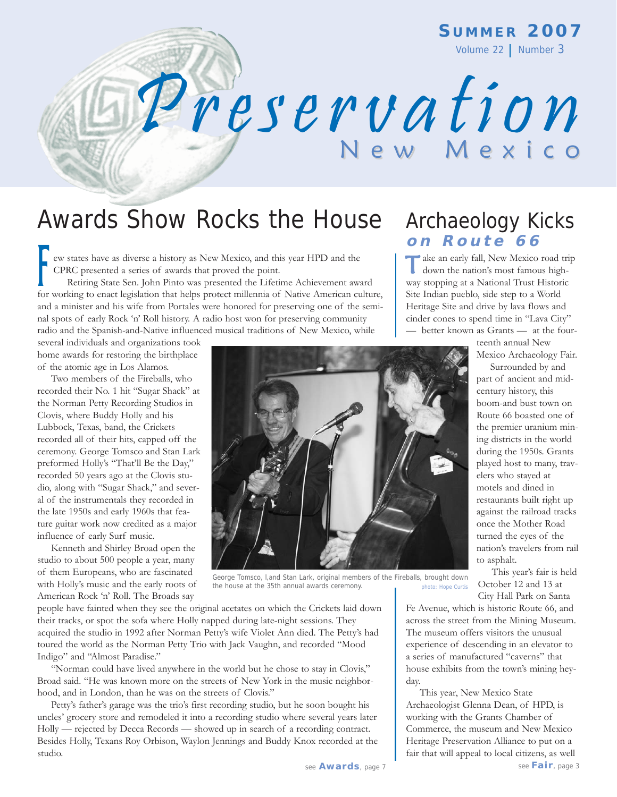**S UMMER 2007**

Volume 22 | Number 3

# Awards Show Rocks the House Archaeology Kicks

ew states have as diverse a history as New Mexico, and this year HPD and the CPRC presented a series of awards that proved the point.

Retiring State Sen. John Pinto was presented the Lifetime Achievement award For CPRC presented a series of awards that proved the point.<br>
Retiring State Sen. John Pinto was presented the Lifetime Achievement award<br>
for working to enact legislation that helps protect millennia of Native American cu and a minister and his wife from Portales were honored for preserving one of the seminal spots of early Rock 'n' Roll history. A radio host won for preserving community radio and the Spanish-and-Native influenced musical traditions of New Mexico, while

several individuals and organizations took home awards for restoring the birthplace of the atomic age in Los Alamos.

Two members of the Fireballs, who recorded their No. 1 hit "Sugar Shack" at the Norman Petty Recording Studios in Clovis, where Buddy Holly and his Lubbock, Texas, band, the Crickets recorded all of their hits, capped off the ceremony. George Tomsco and Stan Lark preformed Holly's "That'll Be the Day," recorded 50 years ago at the Clovis studio, along with "Sugar Shack," and several of the instrumentals they recorded in the late 1950s and early 1960s that feature guitar work now credited as a major influence of early Surf music.

Kenneth and Shirley Broad open the studio to about 500 people a year, many of them Europeans, who are fascinated with Holly's music and the early roots of American Rock 'n' Roll. The Broads say

people have fainted when they see the original acetates on which the Crickets laid down their tracks, or spot the sofa where Holly napped during late-night sessions. They acquired the studio in 1992 after Norman Petty's wife Violet Ann died. The Petty's had toured the world as the Norman Petty Trio with Jack Vaughn, and recorded "Mood Indigo" and "Almost Paradise."

"Norman could have lived anywhere in the world but he chose to stay in Clovis," Broad said. "He was known more on the streets of New York in the music neighborhood, and in London, than he was on the streets of Clovis."

Petty's father's garage was the trio's first recording studio, but he soon bought his uncles' grocery store and remodeled it into a recording studio where several years later Holly — rejected by Decca Records — showed up in search of a recording contract. Besides Holly, Texans Roy Orbison, Waylon Jennings and Buddy Knox recorded at the studio.

# **on Route 66**

ake an early fall, New Mexico road trip down the nation's most famous highway stopping at a National Trust Historic Site Indian pueblo, side step to a World Heritage Site and drive by lava flows and cinder cones to spend time in "Lava City" — better known as Grants — at the four-

teenth annual New

Mexico Archaeology Fair. Surrounded by and

part of ancient and midcentury history, this boom-and bust town on Route 66 boasted one of the premier uranium mining districts in the world during the 1950s. Grants played host to many, travelers who stayed at motels and dined in restaurants built right up against the railroad tracks once the Mother Road turned the eyes of the nation's travelers from rail to asphalt.

This year's fair is held October 12 and 13 at City Hall Park on Santa

Fe Avenue, which is historic Route 66, and across the street from the Mining Museum. The museum offers visitors the unusual experience of descending in an elevator to a series of manufactured "caverns" that house exhibits from the town's mining heyday.

This year, New Mexico State Archaeologist Glenna Dean, of HPD, is working with the Grants Chamber of Commerce, the museum and New Mexico Heritage Preservation Alliance to put on a fair that will appeal to local citizens, as well

#### George Tomsco, l,and Stan Lark, original members of the Fireballs, brought down the house at the 35th annual awards ceremony. photo: Hope Curtis



Preservation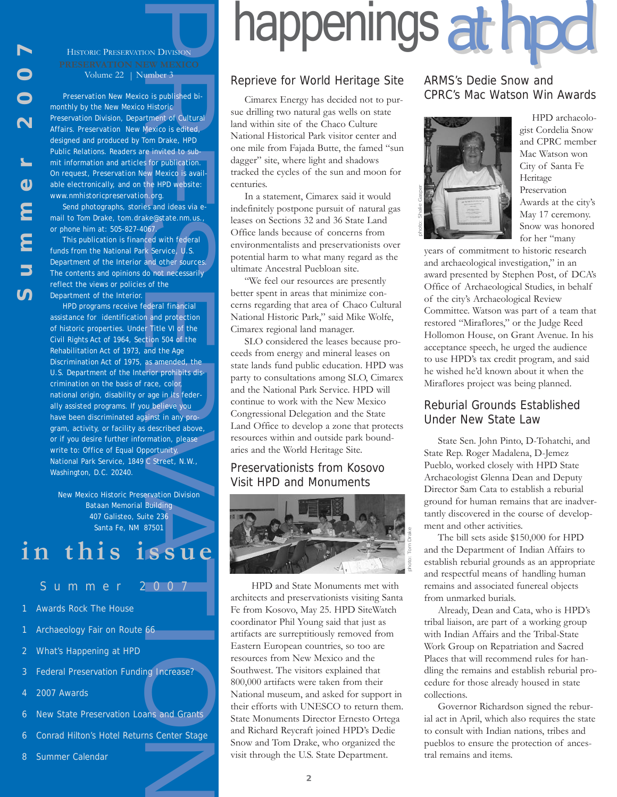HISTORIC PRESERVATION DIVISION Volume 22 | Number 3

*Preservation New Mexico* is published bimonthly by the New Mexico Historic Preservation Division, Department of Cultural Affairs. *Preservation New Mexico* is edited, designed and produced by Tom Drake, HPD Public Relations. Readers are invited to submit information and articles for publication. On request, *Preservation New Mexico* is available electronically, and on the HPD website: *www.nmhistoricpreservation.org*.

Send photographs, stories and ideas via email to Tom Drake, *tom.drake@state.nm.us*., or phone him at: 505-827-4067.

This publication is financed with federal funds from the National Park Service, U.S. Department of the Interior and other sources. The contents and opinions do not necessarily reflect the views or policies of the Department of the Interior.

For MEXICO<br>
CON DIVISION<br>
EW MEXICO<br>
comber 3<br>
consignation of Cultural<br>
Mexico is edited,<br>
Historic<br>
Mexico is edited,<br>
flom Drake, HPD<br>
for publication.<br>
Ew Mexico is avail-<br>
the HPD website:<br>
morg.<br>
es and ideas via e-<br> HPD programs receive federal financial assistance for identification and protection of historic properties. Under Title VI of the Civil Rights Act of 1964, Section 504 of the Rehabilitation Act of 1973, and the Age Discrimination Act of 1975, as amended, the U.S. Department of the Interior prohibits discrimination on the basis of race, color, national origin, disability or age in its federally assisted programs. If you believe you have been discriminated against in any program, activity, or facility as described above, or if you desire further information, please write to: Office of Equal Opportunity, National Park Service, 1849 C Street, N.W., Washington, D.C. 20240.

New Mexico Historic Preservation Division Bataan Memorial Building 407 Galisteo, Suite 236 Santa Fe, NM 87501

# **in this issue**

- Summer 2007
	-
- Awards Rock The House
- Archaeology Fair on Route 66
- 2 What's Happening at HPD
- 3 Federal Preservation Funding Increase?
- 2007 Awards
- 6 New State Preservation Loans and Grants
- 6 Conrad Hilton's Hotel Returns Center Stage
- 8 Summer Calendar

# happenings at hpd

#### Reprieve for World Heritage Site

Cimarex Energy has decided not to pursue drilling two natural gas wells on state land within site of the Chaco Culture National Historical Park visitor center and one mile from Fajada Butte, the famed "sun dagger" site, where light and shadows tracked the cycles of the sun and moon for centuries.

In a statement, Cimarex said it would indefinitely postpone pursuit of natural gas leases on Sections 32 and 36 State Land Office lands because of concerns from environmentalists and preservationists over potential harm to what many regard as the ultimate Ancestral Puebloan site.

"We feel our resources are presently better spent in areas that minimize concerns regarding that area of Chaco Cultural National Historic Park," said Mike Wolfe, Cimarex regional land manager.

SLO considered the leases because proceeds from energy and mineral leases on state lands fund public education. HPD was party to consultations among SLO, Cimarex and the National Park Service. HPD will continue to work with the New Mexico Congressional Delegation and the State Land Office to develop a zone that protects resources within and outside park boundaries and the World Heritage Site.

#### Preservationists from Kosovo Visit HPD and Monuments



HPD and State Monuments met with architects and preservationists visiting Santa Fe from Kosovo, May 25. HPD SiteWatch coordinator Phil Young said that just as artifacts are surreptitiously removed from Eastern European countries, so too are resources from New Mexico and the Southwest. The visitors explained that 800,000 artifacts were taken from their National museum, and asked for support in their efforts with UNESCO to return them. State Monuments Director Ernesto Ortega and Richard Reycraft joined HPD's Dedie Snow and Tom Drake, who organized the visit through the U.S. State Department.

#### ARMS's Dedie Snow and CPRC's Mac Watson Win Awards



HPD archaeologist Cordelia Snow and CPRC member Mac Watson won City of Santa Fe Heritage Preservation Awards at the city's May 17 ceremony. Snow was honored for her "many

years of commitment to historic research and archaeological investigation," in an award presented by Stephen Post, of DCA's Office of Archaeological Studies, in behalf of the city's Archaeological Review Committee. Watson was part of a team that restored "Miraflores," or the Judge Reed Hollomon House, on Grant Avenue. In his acceptance speech, he urged the audience to use HPD's tax credit program, and said he wished he'd known about it when the Miraflores project was being planned.

#### Reburial Grounds Established Under New State Law

State Sen. John Pinto, D-Tohatchi, and State Rep. Roger Madalena, D-Jemez Pueblo, worked closely with HPD State Archaeologist Glenna Dean and Deputy Director Sam Cata to establish a reburial ground for human remains that are inadvertantly discovered in the course of development and other activities.

The bill sets aside \$150,000 for HPD and the Department of Indian Affairs to establish reburial grounds as an appropriate and respectful means of handling human remains and associated funereal objects from unmarked burials.

Already, Dean and Cata, who is HPD's tribal liaison, are part of a working group with Indian Affairs and the Tribal-State Work Group on Repatriation and Sacred Places that will recommend rules for handling the remains and establish reburial procedure for those already housed in state collections.

Governor Richardson signed the reburial act in April, which also requires the state to consult with Indian nations, tribes and pueblos to ensure the protection of ancestral remains and items.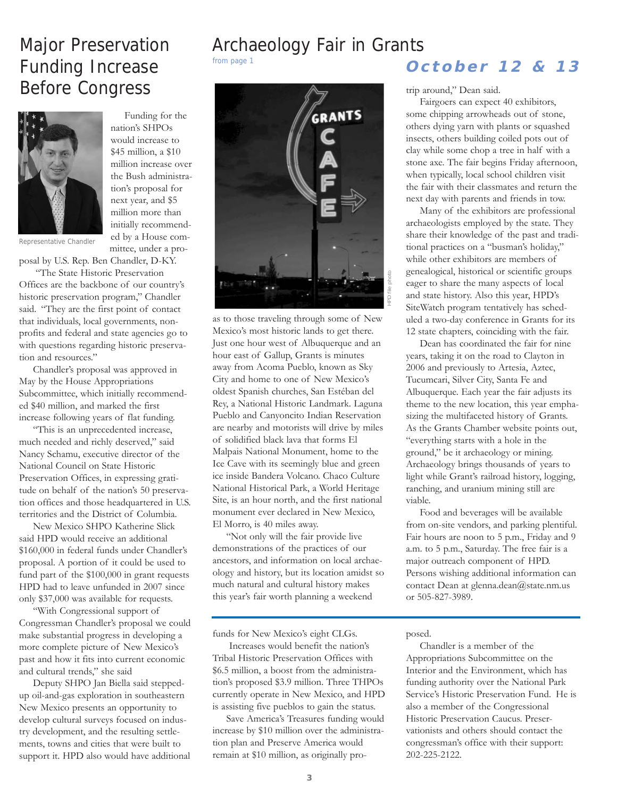### Major Preservation Funding Increase Before Congress



Funding for the nation's SHPOs would increase to \$45 million, a \$10 million increase over the Bush administration's proposal for next year, and \$5 million more than initially recommended by a House committee, under a pro-

Representative Chandler

posal by U.S. Rep. Ben Chandler, D-KY. "The State Historic Preservation

Offices are the backbone of our country's historic preservation program," Chandler said. "They are the first point of contact that individuals, local governments, nonprofits and federal and state agencies go to with questions regarding historic preservation and resources."

Chandler's proposal was approved in May by the House Appropriations Subcommittee, which initially recommended \$40 million, and marked the first increase following years of flat funding.

"This is an unprecedented increase, much needed and richly deserved," said Nancy Schamu, executive director of the National Council on State Historic Preservation Offices, in expressing gratitude on behalf of the nation's 50 preservation offices and those headquartered in U.S. territories and the District of Columbia.

New Mexico SHPO Katherine Slick said HPD would receive an additional \$160,000 in federal funds under Chandler's proposal. A portion of it could be used to fund part of the \$100,000 in grant requests HPD had to leave unfunded in 2007 since only \$37,000 was available for requests.

"With Congressional support of Congressman Chandler's proposal we could make substantial progress in developing a more complete picture of New Mexico's past and how it fits into current economic and cultural trends," she said

Deputy SHPO Jan Biella said steppedup oil-and-gas exploration in southeastern New Mexico presents an opportunity to develop cultural surveys focused on industry development, and the resulting settlements, towns and cities that were built to support it. HPD also would have additional

# Archaeology Fair in Grants



as to those traveling through some of New Mexico's most historic lands to get there. Just one hour west of Albuquerque and an hour east of Gallup, Grants is minutes away from Acoma Pueblo, known as Sky City and home to one of New Mexico's oldest Spanish churches, San Estéban del Rey, a National Historic Landmark. Laguna Pueblo and Canyoncito Indian Reservation are nearby and motorists will drive by miles of solidified black lava that forms El Malpais National Monument, home to the Ice Cave with its seemingly blue and green ice inside Bandera Volcano. Chaco Culture National Historical Park, a World Heritage Site, is an hour north, and the first national monument ever declared in New Mexico, El Morro, is 40 miles away.

"Not only will the fair provide live demonstrations of the practices of our ancestors, and information on local archaeology and history, but its location amidst so much natural and cultural history makes this year's fair worth planning a weekend

funds for New Mexico's eight CLGs.

Increases would benefit the nation's Tribal Historic Preservation Offices with \$6.5 million, a boost from the administration's proposed \$3.9 million. Three THPOs currently operate in New Mexico, and HPD is assisting five pueblos to gain the status.

Save America's Treasures funding would increase by \$10 million over the administration plan and Preserve America would remain at \$10 million, as originally pro-

### from page 1 **October 12 & 13**

trip around," Dean said.

Fairgoers can expect 40 exhibitors, some chipping arrowheads out of stone, others dying yarn with plants or squashed insects, others building coiled pots out of clay while some chop a tree in half with a stone axe. The fair begins Friday afternoon, when typically, local school children visit the fair with their classmates and return the next day with parents and friends in tow.

Many of the exhibitors are professional archaeologists employed by the state. They share their knowledge of the past and traditional practices on a "busman's holiday," while other exhibitors are members of genealogical, historical or scientific groups eager to share the many aspects of local and state history. Also this year, HPD's SiteWatch program tentatively has scheduled a two-day conference in Grants for its 12 state chapters, coinciding with the fair.

Dean has coordinated the fair for nine years, taking it on the road to Clayton in 2006 and previously to Artesia, Aztec, Tucumcari, Silver City, Santa Fe and Albuquerque. Each year the fair adjusts its theme to the new location, this year emphasizing the multifaceted history of Grants. As the Grants Chamber website points out, "everything starts with a hole in the ground," be it archaeology or mining. Archaeology brings thousands of years to light while Grant's railroad history, logging, ranching, and uranium mining still are viable.

Food and beverages will be available from on-site vendors, and parking plentiful. Fair hours are noon to 5 p.m., Friday and 9 a.m. to 5 p.m., Saturday. The free fair is a major outreach component of HPD. Persons wishing additional information can contact Dean at glenna.dean@state.nm.us or 505-827-3989.

#### posed.

Chandler is a member of the Appropriations Subcommittee on the Interior and the Environment, which has funding authority over the National Park Service's Historic Preservation Fund. He is also a member of the Congressional Historic Preservation Caucus. Preservationists and others should contact the congressman's office with their support: 202-225-2122.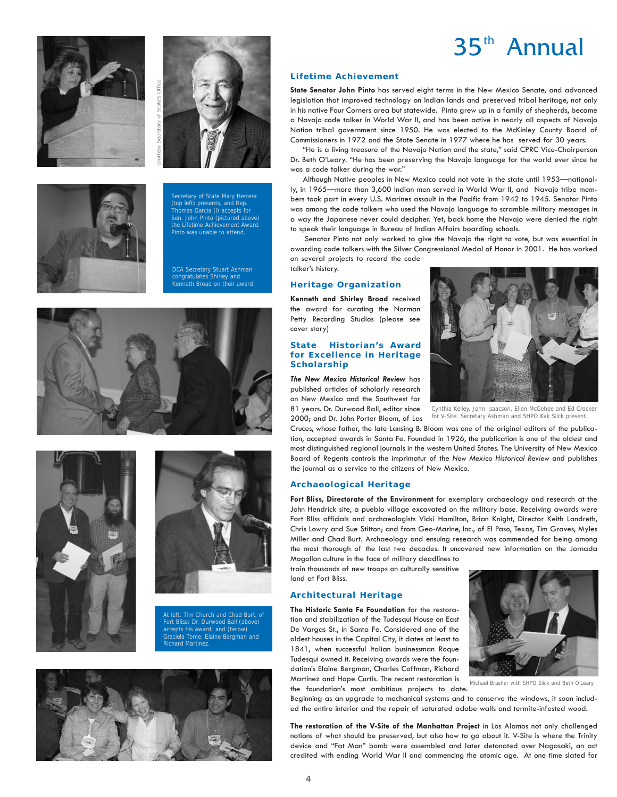





ecretary of State Mary Herrera (top left) presents, and Rep. Thomas Garcia (l) accepts for Sen. John Pinto (pictured above) the Lifetime Achievement Awa Pinto was unable to attend.

DCA Secretary Stuart Ashman congratulates Shirley and Kenneth Broad on their award.







At left, Tim Church and Chad Burt, of Fort Bliss; Dr. Durwood Ball (above) accepts his award; and (below) Graciela Tome, Elaine Bergman and Richard Martinez.



#### **Lifetime Achievement**

**State Senator John Pinto** has served eight terms in the New Mexico Senate, and advanced legislation that improved technology on Indian lands and preserved tribal heritage, not only in his native Four Corners area but statewide. Pinto grew up in a family of shepherds, became a Navajo code talker in World War II, and has been active in nearly all aspects of Navajo Nation tribal government since 1950. He was elected to the McKinley County Board of Commissioners in 1972 and the State Senate in 1977 where he has served for 30 years.

"He is a living treasure of the Navajo Nation and the state," said CPRC Vice-Chairperson Dr. Beth O'Leary. "He has been preserving the Navajo language for the world ever since he was a code talker during the war."

Although Native peoples in New Mexico could not vote in the state until 1953—nationally, in 1965—more than 3,600 Indian men served in World War II, and Navajo tribe members took part in every U.S. Marines assault in the Pacific from 1942 to 1945. Senator Pinto was among the code talkers who used the Navajo language to scramble military messages in a way the Japanese never could decipher. Yet, back home the Navajo were denied the right to speak their language in Bureau of Indian Affairs boarding schools.

Senator Pinto not only worked to give the Navajo the right to vote, but was essential in awarding code talkers with the Silver Congressional Medal of Honor in 2001. He has worked on several projects to record the code talker's history.

#### **Heritage Organization**

**Kenneth and Shirley Broad** received the award for curating the Norman Petty Recording Studios (please see cover story)

#### **State Historian's Award for Excellence in Heritage Scholarship**

*The New Mexico Historical Review* has published articles of scholarly research on New Mexico and the Southwest for 81 years. Dr. Durwood Ball, editor since 2000; and Dr. John Porter Bloom, of Las



Cynthia Kelley, John Isaacson, Ellen McGehee and Ed Crocker for V-Site. Secretary Ashman and SHPO Kak Slick present.

Cruces, whose father, the late Lansing B. Bloom was one of the original editors of the publication, accepted awards in Santa Fe. Founded in 1926, the publication is one of the oldest and most distinguished regional journals in the western United States. The University of New Mexico Board of Regents controls the imprimatur of the *New Mexico Historical Review* and publishes the journal as a service to the citizens of New Mexico.

#### **Archaeological Heritage**

**Fort Bliss, Directorate of the Environment** for exemplary archaeology and research at the John Hendrick site, a pueblo village excavated on the military base. Receiving awards were Fort Bliss officials and archaeologists Vicki Hamilton, Brian Knight, Director Keith Landreth, Chris Lowry and Sue Stitton; and from Geo-Marine, Inc., of El Paso, Texas, Tim Graves, Myles Miller and Chad Burt. Archaeology and ensuing research was commended for being among the most thorough of the last two decades. It uncovered new information on the Jornada

Mogollon culture in the face of military deadlines to train thousands of new troops on culturally sensitive land at Fort Bliss.

#### **Architectural Heritage**

**The Historic Santa Fe Foundation** for the restoration and stabilization of the Tudesqui House on East De Vargas St., in Santa Fe. Considered one of the oldest houses in the Capital City, it dates at least to 1841, when successful Italian businessman Roque Tudesqui owned it. Receiving awards were the foundation's Elaine Bergman, Charles Coffman, Richard Martinez and Hope Curtis. The recent restoration is



the foundation's most ambitious projects to date. Michael Brasher with SHPO Slick and Beth O'Leary

Beginning as an upgrade to mechanical systems and to conserve the windows, it soon included the entire interior and the repair of saturated adobe walls and termite-infested wood.

**The restoration of the V-Site of the Manhattan Project** in Los Alamos not only challenged notions of what should be preserved, but also how to go about it. V-Site is where the Trinity device and "Fat Man" bomb were assembled and later detonated over Nagasaki, an act credited with ending World War II and commencing the atomic age. At one time slated for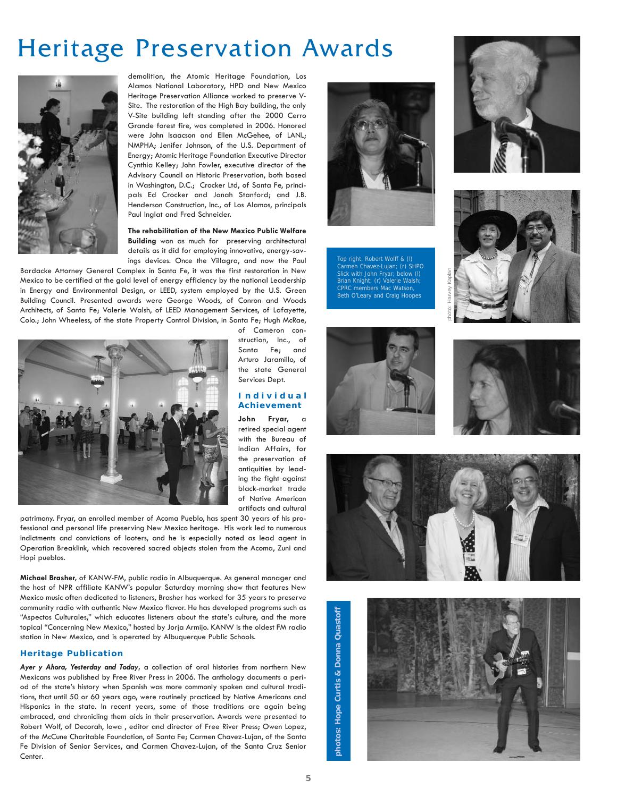## Heritage Preservation Awards



demolition, the Atomic Heritage Foundation, Los Alamos National Laboratory, HPD and New Mexico Heritage Preservation Alliance worked to preserve V-Site. The restoration of the High Bay building, the only V-Site building left standing after the 2000 Cerro Grande forest fire, was completed in 2006. Honored were John Isaacson and Ellen McGehee, of LANL; NMPHA; Jenifer Johnson, of the U.S. Department of Energy; Atomic Heritage Foundation Executive Director Cynthia Kelley; John Fowler, executive director of the Advisory Council on Historic Preservation, both based in Washington, D.C.; Crocker Ltd, of Santa Fe, principals Ed Crocker and Jonah Stanford; and J.B. Henderson Construction, Inc., of Los Alamos, principals Paul Inglat and Fred Schneider.

**The rehabilitation of the New Mexico Public Welfare Building** won as much for preserving architectural details as it did for employing innovative, energy-savings devices. Once the Villagra, and now the Paul

Bardacke Attorney General Complex in Santa Fe, it was the first restoration in New Mexico to be certified at the gold level of energy efficiency by the national Leadership in Energy and Environmental Design, or LEED, system employed by the U.S. Green Building Council. Presented awards were George Woods, of Conron and Woods Architects, of Santa Fe; Valerie Walsh, of LEED Management Services, of Lafayette, Colo.; John Wheeless, of the state Property Control Division, in Santa Fe; Hugh McRae,



of Cameron construction, Inc., of Santa Fe; and Arturo Jaramillo, of the state General Services Dept.

#### **Individual Achievement**

**John Fryar,** a retired special agent with the Bureau of Indian Affairs, for the preservation of antiquities by leading the fight against black-market trade of Native American artifacts and cultural

patrimony. Fryar, an enrolled member of Acoma Pueblo, has spent 30 years of his professional and personal life preserving New Mexico heritage. His work led to numerous indictments and convictions of looters, and he is especially noted as lead agent in Operation Breaklink, which recovered sacred objects stolen from the Acoma, Zuni and Hopi pueblos.

**Michael Brasher,** of KANW-FM, public radio in Albuquerque. As general manager and the host of NPR affiliate KANW's popular Saturday morning show that features New Mexico music often dedicated to listeners, Brasher has worked for 35 years to preserve community radio with authentic New Mexico flavor. He has developed programs such as "Aspectos Culturales," which educates listeners about the state's culture, and the more topical "Concerning New Mexico," hosted by Jorja Armijo. KANW is the oldest FM radio station in New Mexico, and is operated by Albuquerque Public Schools.

#### **Heritage Publication**

*Ayer y Ahora, Yesterday and Today***,** a collection of oral histories from northern New Mexicans was published by Free River Press in 2006. The anthology documents a period of the state's history when Spanish was more commonly spoken and cultural traditions, that until 50 or 60 years ago, were routinely practiced by Native Americans and Hispanics in the state. In recent years, some of those traditions are again being embraced, and chronicling them aids in their preservation. Awards were presented to Robert Wolf, of Decorah, Iowa , editor and director of Free River Press; Owen Lopez, of the McCune Charitable Foundation, of Santa Fe; Carmen Chavez-Lujan, of the Santa Fe Division of Senior Services, and Carmen Chavez-Lujan, of the Santa Cruz Senior Center.



Top right, Robert Wolff & (l) Carmen Chavez-Lujan; (r) SHPO Slick with John Fryar; below (l) Brian Knight; (r) Valerie Walsh; CPRC members Mac Watson, Beth O'Leary and Craig Hoopes













**photos: Hope Curtis & Donna Quastoff** photos: Hope Curtis & Donna Quastof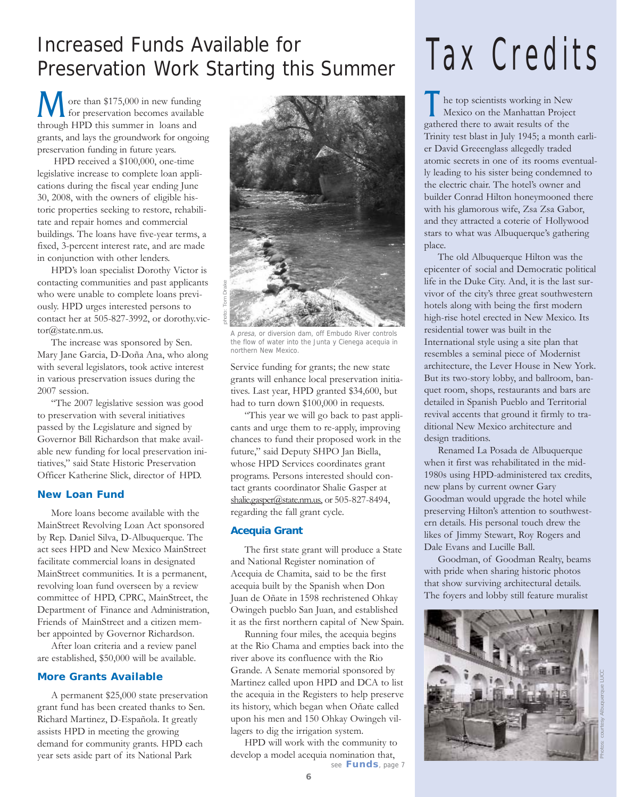### Increased Funds Available for Preservation Work Starting this Summer

ore than \$175,000 in new funding **M** ore than \$175,000 in new funding<br>for preservation becomes available through HPD this summer in loans and grants, and lays the groundwork for ongoing preservation funding in future years.

HPD received a \$100,000, one-time legislative increase to complete loan applications during the fiscal year ending June 30, 2008, with the owners of eligible historic properties seeking to restore, rehabilitate and repair homes and commercial buildings. The loans have five-year terms, a fixed, 3-percent interest rate, and are made in conjunction with other lenders.

HPD's loan specialist Dorothy Victor is contacting communities and past applicants who were unable to complete loans previously. HPD urges interested persons to contact her at 505-827-3992, or dorothy.victor@state.nm.us.

The increase was sponsored by Sen. Mary Jane Garcia, D-Doña Ana, who along with several legislators, took active interest in various preservation issues during the 2007 session.

"The 2007 legislative session was good to preservation with several initiatives passed by the Legislature and signed by Governor Bill Richardson that make available new funding for local preservation initiatives," said State Historic Preservation Officer Katherine Slick, director of HPD.

#### **New Loan Fund**

More loans become available with the MainStreet Revolving Loan Act sponsored by Rep. Daniel Silva, D-Albuquerque. The act sees HPD and New Mexico MainStreet facilitate commercial loans in designated MainStreet communities. It is a permanent, revolving loan fund overseen by a review committee of HPD, CPRC, MainStreet, the Department of Finance and Administration, Friends of MainStreet and a citizen member appointed by Governor Richardson.

After loan criteria and a review panel are established, \$50,000 will be available.

#### **More Grants Available**

A permanent \$25,000 state preservation grant fund has been created thanks to Sen. Richard Martinez, D-Española. It greatly assists HPD in meeting the growing demand for community grants. HPD each year sets aside part of its National Park



A presa, or diversion dam, off Embudo River controls the flow of water into the Junta y Cienega acequia in northern New Mexico.

Service funding for grants; the new state grants will enhance local preservation initiatives. Last year, HPD granted \$34,600, but had to turn down \$100,000 in requests.

"This year we will go back to past applicants and urge them to re-apply, improving chances to fund their proposed work in the future," said Deputy SHPO Jan Biella, whose HPD Services coordinates grant programs. Persons interested should contact grants coordinator Shalie Gasper at shalie.gasper@state.nm.us, or 505-827-8494, regarding the fall grant cycle.

#### **Acequia Grant**

The first state grant will produce a State and National Register nomination of Acequia de Chamita, said to be the first acequia built by the Spanish when Don Juan de Oñate in 1598 rechristened Ohkay Owingeh pueblo San Juan, and established it as the first northern capital of New Spain.

Running four miles, the acequia begins at the Rio Chama and empties back into the river above its confluence with the Rio Grande. A Senate memorial sponsored by Martinez called upon HPD and DCA to list the acequia in the Registers to help preserve its history, which began when Oñate called upon his men and 150 Ohkay Owingeh villagers to dig the irrigation system.

HPD will work with the community to develop a model acequia nomination that, see **Funds**, page 7

# Tax Credits

The top scientists working in New Mexico on the Manhattan Projectors Mexico on the Manhattan Project gathered there to await results of the Trinity test blast in July 1945; a month earlier David Greeenglass allegedly traded atomic secrets in one of its rooms eventually leading to his sister being condemned to the electric chair. The hotel's owner and builder Conrad Hilton honeymooned there with his glamorous wife, Zsa Zsa Gabor, and they attracted a coterie of Hollywood stars to what was Albuquerque's gathering place.

The old Albuquerque Hilton was the epicenter of social and Democratic political life in the Duke City. And, it is the last survivor of the city's three great southwestern hotels along with being the first modern high-rise hotel erected in New Mexico. Its residential tower was built in the International style using a site plan that resembles a seminal piece of Modernist architecture, the Lever House in New York. But its two-story lobby, and ballroom, banquet room, shops, restaurants and bars are detailed in Spanish Pueblo and Territorial revival accents that ground it firmly to traditional New Mexico architecture and design traditions.

Renamed La Posada de Albuquerque when it first was rehabilitated in the mid-1980s using HPD-administered tax credits, new plans by current owner Gary Goodman would upgrade the hotel while preserving Hilton's attention to southwestern details. His personal touch drew the likes of Jimmy Stewart, Roy Rogers and Dale Evans and Lucille Ball.

Goodman, of Goodman Realty, beams with pride when sharing historic photos that show surviving architectural details. The foyers and lobby still feature muralist

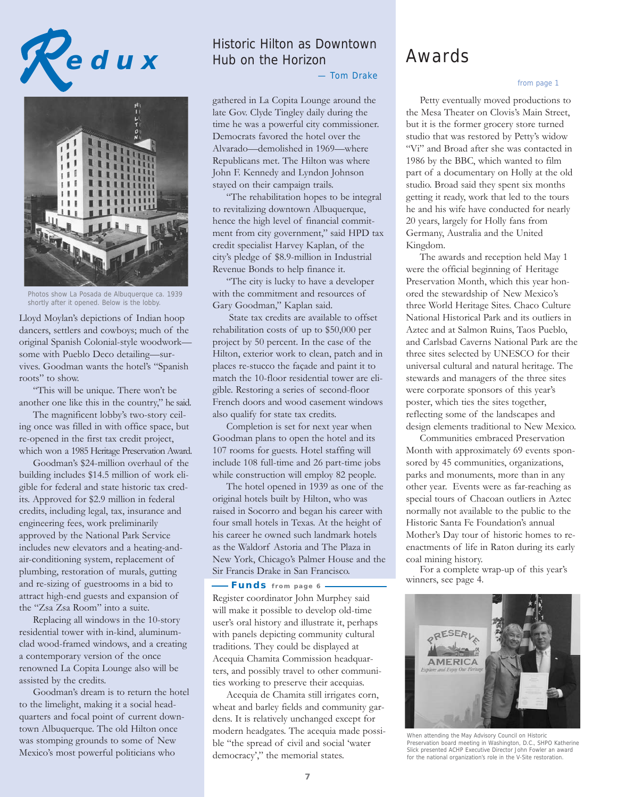



Photos show La Posada de Albuquerque ca. 1939 shortly after it opened. Below is the lobby.

Lloyd Moylan's depictions of Indian hoop dancers, settlers and cowboys; much of the original Spanish Colonial-style woodwork some with Pueblo Deco detailing—survives. Goodman wants the hotel's "Spanish roots" to show.

"This will be unique. There won't be another one like this in the country," he said.

The magnificent lobby's two-story ceiling once was filled in with office space, but re-opened in the first tax credit project, which won a 1985 Heritage Preservation Award.

Goodman's \$24-million overhaul of the building includes \$14.5 million of work eligible for federal and state historic tax credits. Approved for \$2.9 million in federal credits, including legal, tax, insurance and engineering fees, work preliminarily approved by the National Park Service includes new elevators and a heating-andair-conditioning system, replacement of plumbing, restoration of murals, gutting and re-sizing of guestrooms in a bid to attract high-end guests and expansion of the "Zsa Zsa Room" into a suite.

Replacing all windows in the 10-story residential tower with in-kind, aluminumclad wood-framed windows, and a creating a contemporary version of the once renowned La Copita Lounge also will be assisted by the credits.

Goodman's dream is to return the hotel to the limelight, making it a social headquarters and focal point of current downtown Albuquerque. The old Hilton once was stomping grounds to some of New Mexico's most powerful politicians who

#### Historic Hilton as Downtown Hub on the Horizon

— Tom Drake

gathered in La Copita Lounge around the late Gov. Clyde Tingley daily during the time he was a powerful city commissioner. Democrats favored the hotel over the Alvarado—demolished in 1969—where Republicans met. The Hilton was where John F. Kennedy and Lyndon Johnson stayed on their campaign trails.

"The rehabilitation hopes to be integral to revitalizing downtown Albuquerque, hence the high level of financial commitment from city government," said HPD tax credit specialist Harvey Kaplan, of the city's pledge of \$8.9-million in Industrial Revenue Bonds to help finance it.

"The city is lucky to have a developer with the commitment and resources of Gary Goodman," Kaplan said.

State tax credits are available to offset rehabilitation costs of up to \$50,000 per project by 50 percent. In the case of the Hilton, exterior work to clean, patch and in places re-stucco the façade and paint it to match the 10-floor residential tower are eligible. Restoring a series of second-floor French doors and wood casement windows also qualify for state tax credits.

Completion is set for next year when Goodman plans to open the hotel and its 107 rooms for guests. Hotel staffing will include 108 full-time and 26 part-time jobs while construction will employ 82 people.

The hotel opened in 1939 as one of the original hotels built by Hilton, who was raised in Socorro and began his career with four small hotels in Texas. At the height of his career he owned such landmark hotels as the Waldorf Astoria and The Plaza in New York, Chicago's Palmer House and the Sir Francis Drake in San Francisco.

Register coordinator John Murphey said will make it possible to develop old-time user's oral history and illustrate it, perhaps with panels depicting community cultural traditions. They could be displayed at Acequia Chamita Commission headquarters, and possibly travel to other communities working to preserve their acequias. **Funds from page 6** 

Acequia de Chamita still irrigates corn, wheat and barley fields and community gardens. It is relatively unchanged except for modern headgates. The acequia made possible "the spread of civil and social 'water democracy'," the memorial states.

### Awards

#### from page 1

Petty eventually moved productions to the Mesa Theater on Clovis's Main Street, but it is the former grocery store turned studio that was restored by Petty's widow "Vi" and Broad after she was contacted in 1986 by the BBC, which wanted to film part of a documentary on Holly at the old studio. Broad said they spent six months getting it ready, work that led to the tours he and his wife have conducted for nearly 20 years, largely for Holly fans from Germany, Australia and the United Kingdom.

The awards and reception held May 1 were the official beginning of Heritage Preservation Month, which this year honored the stewardship of New Mexico's three World Heritage Sites. Chaco Culture National Historical Park and its outliers in Aztec and at Salmon Ruins, Taos Pueblo, and Carlsbad Caverns National Park are the three sites selected by UNESCO for their universal cultural and natural heritage. The stewards and managers of the three sites were corporate sponsors of this year's poster, which ties the sites together, reflecting some of the landscapes and design elements traditional to New Mexico.

Communities embraced Preservation Month with approximately 69 events sponsored by 45 communities, organizations, parks and monuments, more than in any other year. Events were as far-reaching as special tours of Chacoan outliers in Aztec normally not available to the public to the Historic Santa Fe Foundation's annual Mother's Day tour of historic homes to reenactments of life in Raton during its early coal mining history.

For a complete wrap-up of this year's winners, see page 4.



When attending the May Advisory Council on Historic Preservation board meeting in Washington, D.C., SHPO Katherine Slick presented ACHP Executive Director John Fowler an award for the national organization's role in the V-Site restoration.